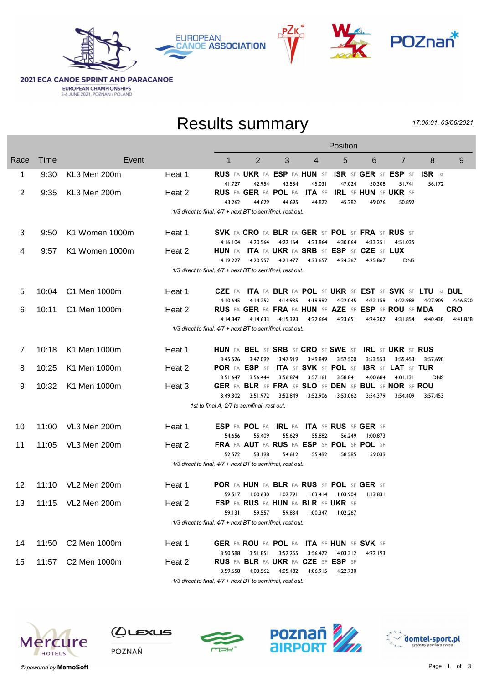







**2021 ECA CANOE SPRINT AND PARACANOE EUROPEAN CHAMPIONSHIPS**<br>3-6 JUNE 2021, POZNAN / POLAND

## Results summary

17:06:01, 03/06/2021

| 9                                                           |
|-------------------------------------------------------------|
|                                                             |
|                                                             |
|                                                             |
|                                                             |
|                                                             |
|                                                             |
|                                                             |
|                                                             |
|                                                             |
| CZE FA ITA FA BLR FA POL SF UKR SF EST SF SVK SF LTU sf BUL |
| 4:46.520                                                    |
| CRO                                                         |
| 4:41.858                                                    |
|                                                             |
|                                                             |
|                                                             |
|                                                             |
|                                                             |
|                                                             |
|                                                             |
|                                                             |
|                                                             |
|                                                             |
|                                                             |
|                                                             |
|                                                             |
|                                                             |
|                                                             |
|                                                             |
|                                                             |
|                                                             |
|                                                             |
|                                                             |



 $Q$ ustus





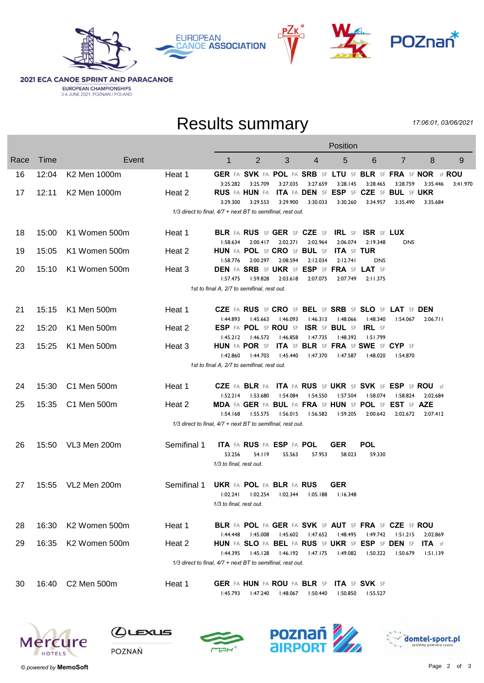







**2021 ECA CANOE SPRINT AND PARACANOE EUROPEAN CHAMPIONSHIPS**<br>3-6 JUNE 2021, POZNAN / POLAND

## Results summary

17:06:01, 03/06/2021

|      |       |                           |                                                            | Position                                    |                                         |          |          |                                                  |                   |                                                                         |                   |          |  |
|------|-------|---------------------------|------------------------------------------------------------|---------------------------------------------|-----------------------------------------|----------|----------|--------------------------------------------------|-------------------|-------------------------------------------------------------------------|-------------------|----------|--|
| Race | Time  | Event                     |                                                            | $\mathbf 1$                                 | $\overline{2}$                          | 3        | 4        | 5                                                | 6                 | 7                                                                       | 8                 | 9        |  |
| 16   | 12:04 | K2 Men 1000m              | Heat 1                                                     |                                             |                                         | 3:27.035 | 3:27.659 |                                                  |                   | GER FA SVK FA POL FA SRB SF LTU SF BLR SF FRA SF NOR sf ROU<br>3:28.759 |                   |          |  |
| 17   | 12:11 | K2 Men 1000m              | Heat 2                                                     | 3:25.282                                    | 3:25.709<br><b>RUS</b> FA <b>HUN</b> FA |          |          | 3:28.145                                         | 3:28.465          | ITA FA DEN SF ESP SF CZE SF BUL SF UKR                                  | 3:35.446          | 3:41.970 |  |
|      |       |                           | 1/3 direct to final, 4/7 + next BT to semifinal, rest out. | 3:29.300                                    | 3:29.553                                | 3:29.900 | 3:30.033 | 3:30.260                                         | 3:34.957          | 3:35.490                                                                | 3:35.684          |          |  |
|      |       |                           |                                                            |                                             |                                         |          |          |                                                  |                   |                                                                         |                   |          |  |
| 18   | 15:00 | K1 Women 500m             | Heat 1                                                     |                                             |                                         |          |          | <b>BLR FA RUS SF GER SF CZE SF IRL SF</b>        | <b>ISR SF LUX</b> |                                                                         |                   |          |  |
| 19   | 15:05 | K1 Women 500m             | Heat 2                                                     | 1:58.634<br>HUN FA POL SF CRO SF BUL SF     | 2:00.417                                | 2:02.271 | 2:02.964 | 2:06.074<br><b>ITA SF TUR</b>                    | 2:19.348          | <b>DNS</b>                                                              |                   |          |  |
|      |       |                           |                                                            | I:58.776                                    | 2:00.297                                | 2:08.594 | 2:12.034 | 2:12.741                                         | <b>DNS</b>        |                                                                         |                   |          |  |
| 20   | 15:10 | K1 Women 500m             | Heat 3                                                     |                                             |                                         |          |          | <b>DEN FA SRB SF UKR SF ESP SF FRA SF LAT SF</b> |                   |                                                                         |                   |          |  |
|      |       |                           |                                                            | 1:57.475                                    | 1:59.828                                | 2:03.618 | 2:07.075 | 2:07.749                                         | 2:11.375          |                                                                         |                   |          |  |
|      |       |                           |                                                            | 1st to final A, 2/7 to semifinal, rest out. |                                         |          |          |                                                  |                   |                                                                         |                   |          |  |
| 21   | 15:15 | K1 Men 500m               | Heat 1                                                     |                                             |                                         |          |          |                                                  |                   | CZE FA RUS SF CRO SF BEL SF SRB SF SLO SF LAT SF DEN                    |                   |          |  |
|      |       |                           |                                                            | 1:44.893                                    | 1:45.663                                | 1:46.093 | 1:46.313 | I:48.066                                         | 1:48.340          | 1:54.067                                                                | 2:06.711          |          |  |
| 22   | 15:20 | K1 Men 500m               | Heat 2                                                     |                                             |                                         |          |          | ESP FA POL SF ROU SF ISR SF BUL SF               | <b>IRL</b> SF     |                                                                         |                   |          |  |
|      |       |                           |                                                            | 1:45.212                                    | l:46.572                                | 1:46.858 | 1:47.735 | 1:48.392                                         | 1:51.799          |                                                                         |                   |          |  |
| 23   | 15:25 | K1 Men 500m               | Heat 3                                                     |                                             |                                         |          |          | HUN FA POR SF ITA SF BLR SF FRA SF SWE SF CYP SF |                   |                                                                         |                   |          |  |
|      |       |                           |                                                            | 1:42.860                                    | 1:44.703                                | 1:45.440 | I:47.370 | 1:47.587                                         | 1:48.020          | I:54.870                                                                |                   |          |  |
|      |       |                           |                                                            | 1st to final A, 2/7 to semifinal, rest out. |                                         |          |          |                                                  |                   |                                                                         |                   |          |  |
| 24   | 15:30 | C1 Men 500m               | Heat 1                                                     |                                             |                                         |          |          |                                                  |                   | <b>CZE</b> FA BLR FA ITA FA RUS SF UKR SF SVK SF ESP SF ROU sf          |                   |          |  |
|      |       |                           |                                                            | 1:52.214                                    | I:53.680                                | 1:54.084 | l:54.550 | 1:57.504                                         | 1:58.074          | l:58.824                                                                | 2:02.684          |          |  |
| 25   | 15:35 | C1 Men 500m               | Heat 2                                                     | 1:54.168                                    |                                         | 1:56.015 | 1:56.582 |                                                  |                   | MDA FA GER FA BUL FA FRA SF HUN SF POL SF EST SF AZE<br>2:02.672        | 2:07.412          |          |  |
|      |       |                           | 1/3 direct to final, 4/7 + next BT to semifinal, rest out. |                                             | 1:55.575                                |          |          | 1:59.205                                         | 2:00.642          |                                                                         |                   |          |  |
|      |       |                           |                                                            |                                             |                                         |          |          |                                                  |                   |                                                                         |                   |          |  |
| 26   | 15:50 | VL3 Men 200m              | Semifinal 1                                                |                                             | ITA FA RUS FA ESP FA POL                |          |          | <b>GER</b>                                       | <b>POL</b>        |                                                                         |                   |          |  |
|      |       |                           |                                                            | 53.256                                      | 54.119                                  | 55.563   | 57.953   | 58.023                                           | 59.330            |                                                                         |                   |          |  |
|      |       |                           |                                                            | 1/3 to final, rest out.                     |                                         |          |          |                                                  |                   |                                                                         |                   |          |  |
| 27   | 15:55 | VL2 Men 200m              | Semifinal 1                                                | <b>UKR FA POL FA BLR FA RUS</b>             |                                         |          |          | GER                                              |                   |                                                                         |                   |          |  |
|      |       |                           |                                                            | 1:02.241                                    | 1:02.254                                | 1:02.344 | 1:05.188 | 1:16.348                                         |                   |                                                                         |                   |          |  |
|      |       |                           |                                                            | 1/3 to final, rest out.                     |                                         |          |          |                                                  |                   |                                                                         |                   |          |  |
| 28   | 16:30 | K <sub>2</sub> Women 500m | Heat 1                                                     |                                             |                                         |          |          |                                                  |                   | BLR FA POL FA GER FA SVK SF AUT SF FRA SF CZE SF ROU                    |                   |          |  |
|      |       |                           |                                                            | 1:44.448                                    | l:45.008                                | 1:45.602 | 1:47.652 | 1:48.495                                         | 1:49.742          | 1:51.215                                                                | 2:02.869          |          |  |
| 29   | 16:35 | K <sub>2</sub> Women 500m | Heat 2                                                     |                                             |                                         |          |          | HUN FA SLO FA BEL FA RUS SF UKR SF ESP SF DEN SF |                   |                                                                         | ITA <sub>sf</sub> |          |  |
|      |       |                           |                                                            | I:44.395                                    | 1:45.128                                | 1:46.192 | 1:47.175 | I:49.082                                         | 1:50.322          | 1:50.679                                                                | 1:51.139          |          |  |
|      |       |                           | 1/3 direct to final, 4/7 + next BT to semifinal, rest out. |                                             |                                         |          |          |                                                  |                   |                                                                         |                   |          |  |
| 30   | 16:40 | C2 Men 500m               | Heat 1                                                     |                                             |                                         |          |          | GER FA HUN FA ROU FA BLR SF ITA SF SVK SF        |                   |                                                                         |                   |          |  |
|      |       |                           |                                                            | 1:45.793                                    | l:47.240                                | 1:48.067 | 1:50.440 | 1:50.850                                         | 1:55.527          |                                                                         |                   |          |  |
|      |       |                           |                                                            |                                             |                                         |          |          |                                                  |                   |                                                                         |                   |          |  |



 $Q$ Lexus